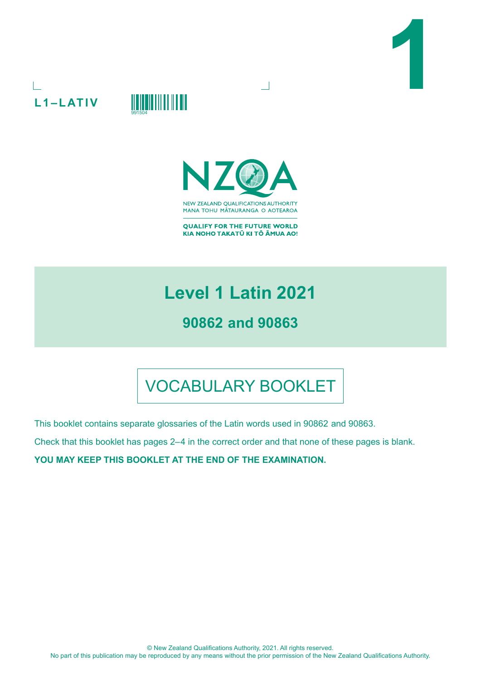







 $\overline{\phantom{0}}$ 

**QUALIFY FOR THE FUTURE WORLD** KIA NOHO TAKATŪ KI TŌ ĀMUA AO!

# **Level 1 Latin 2021**

## **90862 and 90863**

# VOCABULARY BOOKLET

This booklet contains separate glossaries of the Latin words used in 90862 and 90863.

Check that this booklet has pages 2–4 in the correct order and that none of these pages is blank.

**YOU MAY KEEP THIS BOOKLET AT THE END OF THE EXAMINATION.**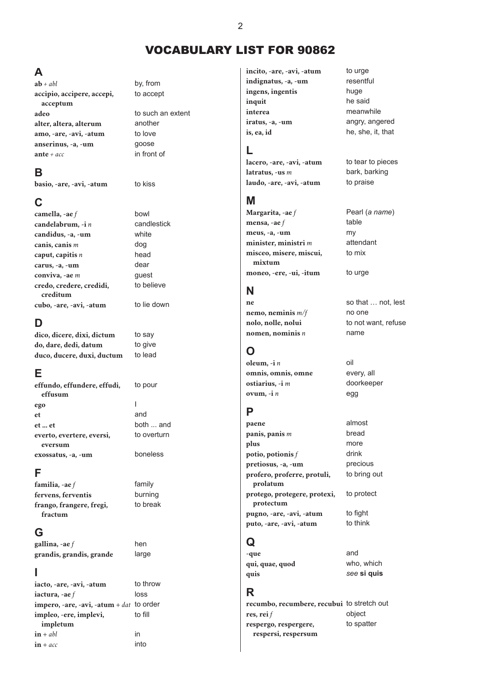#### VOCABULARY LIST FOR 90862

 $\overline{2}$ 

#### **A**

**ab** *+ abl* by, from **accipio, accipere, accepi, acceptum adeo** to such an extent **alter, altera, alterum** another **amo, -are, -avi, -atum** to love **anserinus, -a, -um** goose **ante** *+ acc* in front of

#### **B**

basio, -are, -avi, -atum to kiss

#### **C**

**camella, -ae** *f* bowl **candelabrum, -i** *n* candlestick **candidus, -a, -um** white **canis, canis** *m* dog **caput, capitis** *n* head **carus, -a, -um** dear **conviva, -ae** *m* guest **credo, credere, credidi, creditum cubo, -are, -avi, -atum** to lie down

#### **D**

dico, dicere, dixi, dictum to say do, dare, dedi, datum to give **duco, ducere, duxi, ductum** to lead

#### **E**

**effundo, effundere, effudi, effusum ego** I **et** and **et ... et** both ... and **everto, evertere, eversi, eversum exossatus, -a, -um** boneless

#### **F**

**familia, -ae** *f* family **fervens, ferventis** burning **frango, frangere, fregi, fractum**

#### **G**

**gallina, -ae** *f* hen **grandis, grandis, grande** large

#### **I**

iacto, -are, -avi, -atum to throw **iactura, -ae** *f* loss **impero, -are, -avi, -atum** + *dat* to order **impleo, -ere, implevi, impletum**  $\mathbf{i} \mathbf{n} + ab \mathbf{l}$  in **in** + *acc* into

to accept

to believe

to pour

to overturn

to break

to fill

incito, -are, -avi, -atum to urge **indignatus, -a, -um** resentful **ingens, ingentis** huge **inquit** he said **interea** meanwhile **iratus, -a, -um** angry, angered **is, ea, id** he, she, it, that

#### **L**

**lacero, -are, -avi, -atum** to tear to pieces **latratus, -us** *m* bark, barking laudo, -are, -avi, -atum to praise

#### **M**

**Margarita, -ae** *f* Pearl (*a name*) **mensa, -ae** *f* table **meus, -a, -um** my **minister, ministri** *m* attendant **misceo, misere, miscui, mixtum** moneo, -ere, -ui, -itum to urge

### **N**

**nemo, neminis**  $m/f$  no one **nolo, nolle, nolui** to not want, refuse **nomen, nominis** *n* name

## **O**

**oleum, -i** *n* oil **omnis, omnis, omne** every, all **ostiarius, -i** *m* doorkeeper **ovum, -i** *n* egg

#### **P**

**paene** almost **panis, panis** *m* bread **plus** more **potio, potionis** *f* drink pretiosus, -a, -um precious **profero, proferre, protuli, prolatum protego, protegere, protexi, protectum pugno, -are, -avi, -atum** to fight puto, -are, -avi, -atum to think

# **Q**

| -que            | and         |
|-----------------|-------------|
| qui, quae, quod | who, which  |
| quis            | see si quis |

#### **R**

**recumbo, recumbere, recubui** to stretch out **res, rei** *f* object **respergo, respergere, respersi, respersum** to spatter

to mix

**ne** so that … not, lest

to bring out

to protect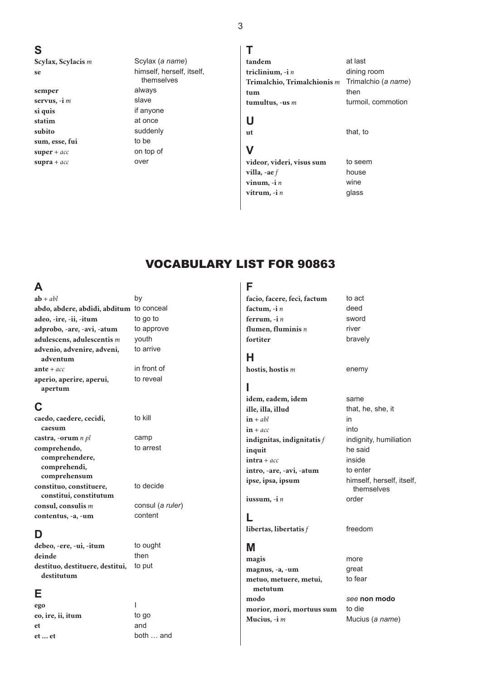**S**

**semper** always **servus, -i** *m* slave **si quis** if anyone **statim** at once **subito** suddenly sum, esse, fui<br>
to be **super** + *acc* on top of **supra** + *acc* over

**Scylax, Scylacis** *m* Scylax (*a name*) **se** himself, herself, itself, themselves

#### **T**

3

**tandem** at last **triclinium, -i** *n* dining room **Trimalchio, Trimalchionis** *m* Trimalchio (*a name*) **tum** then **tumultus, -us** *m* turmoil, commotion **U** that, to **V**

videor, videri, visus sum to seem **villa, -ae** *f* house **vinum, -i** *n* wine vitrum, -i *n* glass

#### VOCABULARY LIST FOR 90863

#### **A**

| $ab + ah$                                |             |
|------------------------------------------|-------------|
| abdo, abdere, abdidi, abditum to conceal |             |
| adeo, -ire, -ii, -itum                   | to go to    |
| adprobo, -are, -avi, -atum               | to approve  |
| adulescens, adulescentis m               | vouth       |
| advenio, advenire, adveni,               | to arrive   |
| adventum                                 |             |
| ante + $acc$                             | in front of |
| aperio, aperire, aperui,                 | to reveal   |
| apertum                                  |             |

#### **C**

**caedo, caedere, cecidi, caesum castra, -orum** *n pl* camp **comprehendo, comprehendere, comprehendi, comprehensum constituo, constituere, constitui, constitutum consul, consulis** *m* consul (*a ruler*) **contentus, -a, -um** content

#### **D**

debeo, -ere, -ui, -itum to ought deinde then **destituo, destituere, destitui, destitutum**

#### **E**

**ego** I **eo, ire, ii, itum** to go **et** and **et … et** both … and

rrive eveal to kill to arrest

to decide

to put

# **F**

| facio, facere, feci, factum | to act  |
|-----------------------------|---------|
| factum, -i n                | deed    |
| ferrum. -i n                | sword   |
| flumen, fluminis n          | river   |
| fortiter                    | bravely |
|                             |         |

#### **H**

**I**

**hostis, hostis** *m* enemy

**idem, eadem, idem** same **ille, illa, illud** that, he, she, it  $\mathbf{i} \mathbf{n} + ab \mathbf{l}$  in **in** + *acc* into indignitas, indignitatis *f* indignity, humiliation **inquit** he said **intra** + *acc* inside intro, -are, -avi, -atum to enter **ipse, ipsa, ipsum** himself, herself, itself,

**iussum, -i** *n* order

**L libertas, libertatis** *f* freedom

#### **M**

**magis** more magnus, -a, -um great **metuo, metuere, metui, metutum modo** *see* **non modo morior, mori, mortuus sum** to die **Mucius, -i** *m* Mucius (*a name*)

themselves

to fear